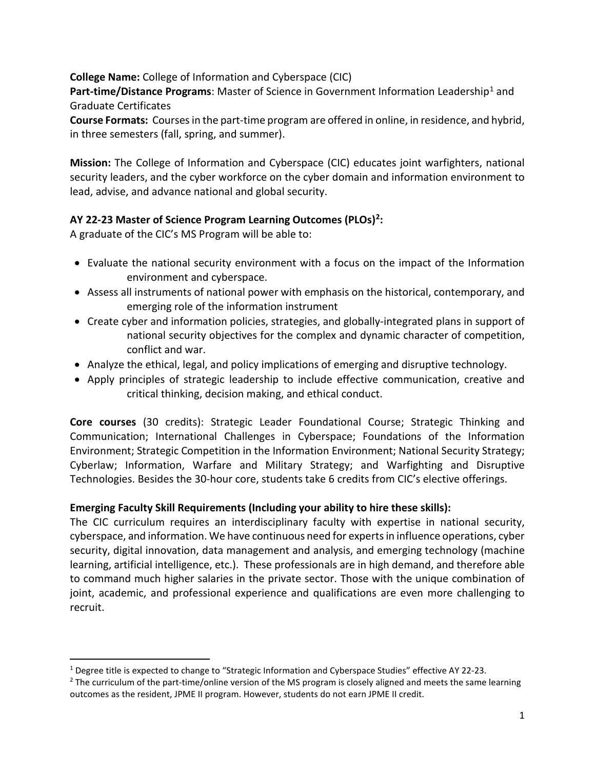## **College Name:** College of Information and Cyberspace (CIC)

**Part-time/Distance Programs:** Master of Science in Government Information Leadership<sup>[1](#page-0-0)</sup> and Graduate Certificates

**Course Formats:** Courses in the part-time program are offered in online, in residence, and hybrid, in three semesters (fall, spring, and summer).

**Mission:** The College of Information and Cyberspace (CIC) educates joint warfighters, national security leaders, and the cyber workforce on the cyber domain and information environment to lead, advise, and advance national and global security.

## **AY 22-23 Master of Science Program Learning Outcomes (PLOs)[2](#page-0-1):**

A graduate of the CIC's MS Program will be able to:

- Evaluate the national security environment with a focus on the impact of the Information environment and cyberspace.
- Assess all instruments of national power with emphasis on the historical, contemporary, and emerging role of the information instrument
- Create cyber and information policies, strategies, and globally-integrated plans in support of national security objectives for the complex and dynamic character of competition, conflict and war.
- Analyze the ethical, legal, and policy implications of emerging and disruptive technology.
- Apply principles of strategic leadership to include effective communication, creative and critical thinking, decision making, and ethical conduct.

**Core courses** (30 credits): Strategic Leader Foundational Course; Strategic Thinking and Communication; International Challenges in Cyberspace; Foundations of the Information Environment; Strategic Competition in the Information Environment; National Security Strategy; Cyberlaw; Information, Warfare and Military Strategy; and Warfighting and Disruptive Technologies. Besides the 30-hour core, students take 6 credits from CIC's elective offerings.

## **Emerging Faculty Skill Requirements (Including your ability to hire these skills):**

The CIC curriculum requires an interdisciplinary faculty with expertise in national security, cyberspace, and information. We have continuous need for experts in influence operations, cyber security, digital innovation, data management and analysis, and emerging technology (machine learning, artificial intelligence, etc.). These professionals are in high demand, and therefore able to command much higher salaries in the private sector. Those with the unique combination of joint, academic, and professional experience and qualifications are even more challenging to recruit.

<span id="page-0-0"></span><sup>&</sup>lt;sup>1</sup> Degree title is expected to change to "Strategic Information and Cyberspace Studies" effective AY 22-23.

<span id="page-0-1"></span> $<sup>2</sup>$  The curriculum of the part-time/online version of the MS program is closely aligned and meets the same learning</sup> outcomes as the resident, JPME II program. However, students do not earn JPME II credit.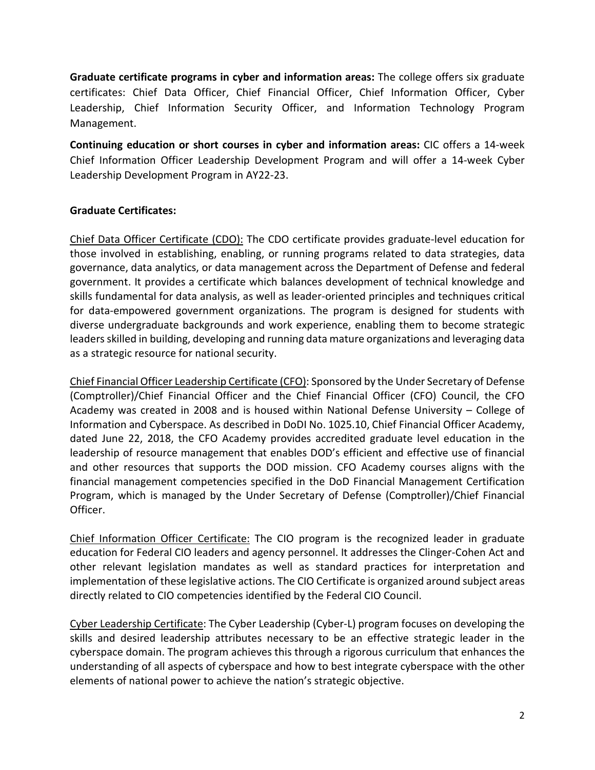**Graduate certificate programs in cyber and information areas:** The college offers six graduate certificates: Chief Data Officer, Chief Financial Officer, Chief Information Officer, Cyber Leadership, Chief Information Security Officer, and Information Technology Program Management.

**Continuing education or short courses in cyber and information areas:** CIC offers a 14-week Chief Information Officer Leadership Development Program and will offer a 14-week Cyber Leadership Development Program in AY22-23.

## **Graduate Certificates:**

Chief Data Officer Certificate (CDO): The CDO certificate provides graduate-level education for those involved in establishing, enabling, or running programs related to data strategies, data governance, data analytics, or data management across the Department of Defense and federal government. It provides a certificate which balances development of technical knowledge and skills fundamental for data analysis, as well as leader-oriented principles and techniques critical for data-empowered government organizations. The program is designed for students with diverse undergraduate backgrounds and work experience, enabling them to become strategic leaders skilled in building, developing and running data mature organizations and leveraging data as a strategic resource for national security.

Chief Financial Officer Leadership Certificate (CFO): Sponsored by the Under Secretary of Defense (Comptroller)/Chief Financial Officer and the Chief Financial Officer (CFO) Council, the CFO Academy was created in 2008 and is housed within National Defense University – College of Information and Cyberspace. As described in DoDI No. 1025.10, Chief Financial Officer Academy, dated June 22, 2018, the CFO Academy provides accredited graduate level education in the leadership of resource management that enables DOD's efficient and effective use of financial and other resources that supports the DOD mission. CFO Academy courses aligns with the financial management competencies specified in the DoD Financial Management Certification Program, which is managed by the Under Secretary of Defense (Comptroller)/Chief Financial Officer.

Chief Information Officer Certificate: The CIO program is the recognized leader in graduate education for Federal CIO leaders and agency personnel. It addresses the Clinger-Cohen Act and other relevant legislation mandates as well as standard practices for interpretation and implementation of these legislative actions. The CIO Certificate is organized around subject areas directly related to CIO competencies identified by the Federal CIO Council.

Cyber Leadership Certificate: The Cyber Leadership (Cyber-L) program focuses on developing the skills and desired leadership attributes necessary to be an effective strategic leader in the cyberspace domain. The program achieves this through a rigorous curriculum that enhances the understanding of all aspects of cyberspace and how to best integrate cyberspace with the other elements of national power to achieve the nation's strategic objective.